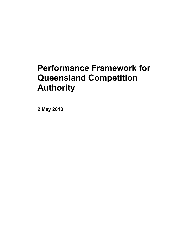# **Performance Framework for Queensland Competition Authority**

**2 May 2018**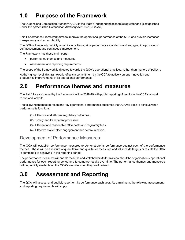## **1.0 Purpose of the Framework**

The Queensland Competition Authority (QCA) is the State's independent economic regulator and is established under the *Queensland Competition Authority Act 1997* (QCA Act).

This Performance Framework aims to improve the operational performance of the QCA and provide increased transparency and accountability.

The QCA will regularly publicly report its activities against performance standards and engaging in a process of self-assessment and continuous improvement.

The Framework has these main parts:

- performance themes and measures.
- assessment and reporting requirements

The scope of the framework is directed towards the QCA's operational practices, rather than matters of policy..

At the highest level, this framework reflects a commitment by the QCA to actively pursue innovation and productivity improvements in its operational performance.

### **2.0 Performance themes and measures**

The first full year covered by the framework will be 2018-19 with public reporting of results in the QCA's annual report and website.

The following themes represent the key operational performance outcomes the QCA will seek to achieve when performing its functions.

- (1) Effective and efficient regulatory outcomes.
- (2) Timely and transparent processes.
- (3) Efficient and reasonable QCA costs and regulatory fees.
- (4) Effective stakeholder engagement and communication.

### Development of Performance Measures

The QCA will establish performance measures to demonstrate its performance against each of the performance themes. These will be a mixture of quantitative and qualitative measures and will include targets or results the QCA is committed to achieving in the reporting period.

The performance measures will enable the QCA and stakeholders to form a view about the organisation's operational performance for each reporting period and to compare results over time. The performance themes and measures will be publicly available on the QCA's website when they are finalised.

### **3.0 Assessment and Reporting**

The QCA will assess, and publicly report on, its performance each year. As a minimum, the following assessment and reporting requirements will apply: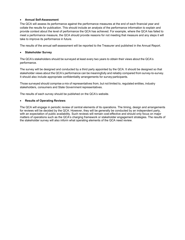#### **Annual Self-Assessment**

The QCA will assess its performance against the performance measures at the end of each financial year and collate the results for publication. This should include an analysis of the performance information to explain and provide context about the level of performance the QCA has achieved. For example, where the QCA has failed to meet a performance measure, the QCA should provide reasons for not meeting that measure and any steps it will take to improve its performance in future.

The results of the annual self-assessment will be reported to the Treasurer and published in the Annual Report.

#### **Stakeholder Survey**

The QCA's stakeholders should be surveyed at least every two years to obtain their views about the QCA's performance.

The survey will be designed and conducted by a third party appointed by the QCA. It should be designed so that stakeholder views about the QCA's performance can be meaningfully and reliably compared from survey-to-survey. It should also include appropriate confidentiality arrangements for survey participants.

Those surveyed should comprise a mix of representatives from, but not limited to, regulated entities, industry stakeholders, consumers and State Government representatives.

The results of each survey should be published on the QCA's website.

#### **Results of Operating Reviews**

The QCA will engage in periodic review of central elements of its operations. The timing, design and arrangements for reviews will be decided by the QCA. However, they will be generally be conducted by an independent party, with an expectation of public availability. Such reviews will remain cost-effective and should only focus on major matters of operations such as the QCA's charging framework or stakeholder engagement strategies. The results of the stakeholder survey will also inform what operating elements of the QCA need review.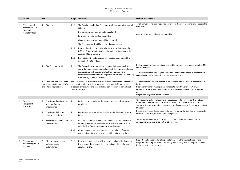|    | <b>Theme</b>                                                      | <b>KPI</b>                                                                                | <b>Target/Benchmark</b>                                                                                                                                                                                                                                                                                                                                                                                                                                      | <b>Method and Evidence</b>                                                                                                                                                                                                                                                                                    |
|----|-------------------------------------------------------------------|-------------------------------------------------------------------------------------------|--------------------------------------------------------------------------------------------------------------------------------------------------------------------------------------------------------------------------------------------------------------------------------------------------------------------------------------------------------------------------------------------------------------------------------------------------------------|---------------------------------------------------------------------------------------------------------------------------------------------------------------------------------------------------------------------------------------------------------------------------------------------------------------|
| -1 | Efficiency and<br>prudency of QCA<br>costs and<br>regulatory fees | 1.1 QCA costs                                                                             | The QCA has a published Fee Framework that as a minimum will<br>1.1.1<br>set out:<br>the basis on which fees are to be calculated<br>how fees are to be notified to entities<br>circumstances in which fees will be reviewed.<br>The Fee Framework will be reviewed every 3 years<br>Estimated project costs to be advised in accordance with the<br>1.1.2<br>QCA Fee Framework template listing detail of direct and indirect<br>costs by 30 June annually. | Total annual costs per regulated entity are based on sound and reasonable<br>estimates.<br>Cost to be tracked and reviewed monthly.                                                                                                                                                                           |
|    |                                                                   | 1.2 OCA Fee Framework                                                                     | Regulated entity to be advised when actual costs exceed the<br>1.1.3<br>notified estimate by 15%.<br>The QCA will engage an independent audit firm annually to<br>1.2.1<br>verify that fees charged to regulated entities have been charged<br>in accordance with the current fee framework and any<br>inconsistences advised to the regulated entity within 10 working<br>days and adjustments processed.                                                   | Review to confirm fees have been charged to entities in accordance with the QCA<br>Fee Framework.<br>Any inconsistencies may require Board to be notified and approval to corrective<br>action hence the 3o day period to complete the process.                                                               |
|    |                                                                   | 1.3 Continuous improvement<br>to the cost efficiency of QCA's<br>projects and operations. | The QCA will adopt a continuous improvement approach to enhance our<br>productivity by being agile, responsive, prudent and efficient in the<br>allocation of resources and fees including achievement of agreed cost<br>targets for projects.                                                                                                                                                                                                               | All specialist services contracts must be assessed on a 'best value' cost efficiency<br>basis.<br>Discretionary employee expenses increase to be within annual CPI or 3%<br>whichever is the greater, with grounds for increases beyond CPI to be reported<br>on.<br>Project cost targets to be set by Board. |
| 2  | Timely and<br>transparent<br>processes                            | 2.1 Timeliness of decisions on<br>or under 'Access<br>Undertakings'                       | Project duration and final decisions not to exceed statutory<br>2.1.1<br>provision.                                                                                                                                                                                                                                                                                                                                                                          | Time taken to make final decisions on access undertakings (as per the statutory<br>timeframe provisions in section 147A of the QCA Act). Time in excess of the<br>statutory timeframe requires reasons and notification to the Treasurer or relevant<br>Minister.                                             |
|    |                                                                   | 2.2 Timeliness of all other<br>statutory decisions.                                       | Reporting completed within the Ministerial directive Terms of<br>2.2.1<br>Reference.                                                                                                                                                                                                                                                                                                                                                                         | Decisions, advice and recommendations delivered by the due date in response to<br>Ministerial referrals, directions and delegations.                                                                                                                                                                          |
|    |                                                                   | 2.3 Availability of submissions<br>and decisions.                                         | All non-confidential submissions and relevant QCA documents<br>2.3.1<br>including reports, decisions and associated documents to be<br>published on QCA website within 10 working days.<br>All submissions that the submitter claims to be confidential in<br>2.3.2<br>whole or in part are to be assessed within 30 working days.                                                                                                                           | Track proportion of projects for which all non-confidential submissions, reports<br>and decisions are published on the QCA website.                                                                                                                                                                           |
| 3  | <b>Effective and</b><br>efficient regulatory<br>outcomes          | 3.1 Effective processes for<br>replacing access<br>undertakings                           | New access undertaking (AU) approved and published prior to<br>3.1.1<br>the expiry of the previous (i.e. existing) undertaking for each<br>regulated entity.                                                                                                                                                                                                                                                                                                 | Proportion of access undertakings implemented in the financial year by the<br>original terminating date in the preceding undertaking. This will support stability<br>in the regulated environment.                                                                                                            |